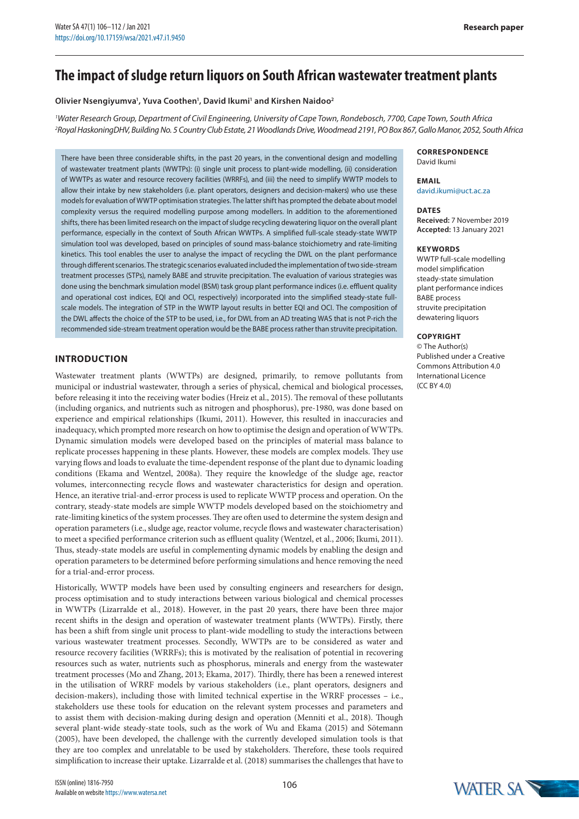# **The impact of sludge return liquors on South African wastewater treatment plants**

#### **Olivier Nsengiyumva1 , Yuva Coothen1 , David Ikumi1 and Kirshen Naidoo2**

*1 Water Research Group, Department of Civil Engineering, University of Cape Town, Rondebosch, 7700, Cape Town, South Africa 2 Royal HaskoningDHV, Building No. 5 Country Club Estate, 21 Woodlands Drive, Woodmead 2191, PO Box 867, Gallo Manor, 2052, South Africa*

There have been three considerable shifts, in the past 20 years, in the conventional design and modelling of wastewater treatment plants (WWTPs): (i) single unit process to plant-wide modelling, (ii) consideration of WWTPs as water and resource recovery facilities (WRRFs), and (iii) the need to simplify WWTP models to allow their intake by new stakeholders (i.e. plant operators, designers and decision-makers) who use these models for evaluation of WWTP optimisation strategies. The latter shift has prompted the debate about model complexity versus the required modelling purpose among modellers. In addition to the aforementioned shifts, there has been limited research on the impact of sludge recycling dewatering liquor on the overall plant performance, especially in the context of South African WWTPs. A simplified full-scale steady-state WWTP simulation tool was developed, based on principles of sound mass-balance stoichiometry and rate-limiting kinetics. This tool enables the user to analyse the impact of recycling the DWL on the plant performance through different scenarios. The strategic scenarios evaluated included the implementation of two side-stream treatment processes (STPs), namely BABE and struvite precipitation. The evaluation of various strategies was done using the benchmark simulation model (BSM) task group plant performance indices (i.e. effluent quality and operational cost indices, EQI and OCI, respectively) incorporated into the simplified steady-state fullscale models. The integration of STP in the WWTP layout results in better EQI and OCI. The composition of the DWL affects the choice of the STP to be used, i.e., for DWL from an AD treating WAS that is not P-rich the recommended side-stream treatment operation would be the BABE process rather than struvite precipitation.

# **INTRODUCTION**

Wastewater treatment plants (WWTPs) are designed, primarily, to remove pollutants from municipal or industrial wastewater, through a series of physical, chemical and biological processes, before releasing it into the receiving water bodies (Hreiz et al., 2015). The removal of these pollutants (including organics, and nutrients such as nitrogen and phosphorus), pre-1980, was done based on experience and empirical relationships (Ikumi, 2011). However, this resulted in inaccuracies and inadequacy, which prompted more research on how to optimise the design and operation of WWTPs. Dynamic simulation models were developed based on the principles of material mass balance to replicate processes happening in these plants. However, these models are complex models. They use varying flows and loads to evaluate the time-dependent response of the plant due to dynamic loading conditions (Ekama and Wentzel, 2008a). They require the knowledge of the sludge age, reactor volumes, interconnecting recycle flows and wastewater characteristics for design and operation. Hence, an iterative trial-and-error process is used to replicate WWTP process and operation. On the contrary, steady-state models are simple WWTP models developed based on the stoichiometry and rate-limiting kinetics of the system processes. They are often used to determine the system design and operation parameters (i.e., sludge age, reactor volume, recycle flows and wastewater characterisation) to meet a specified performance criterion such as effluent quality (Wentzel, et al., 2006; Ikumi, 2011). Thus, steady-state models are useful in complementing dynamic models by enabling the design and operation parameters to be determined before performing simulations and hence removing the need for a trial-and-error process.

Historically, WWTP models have been used by consulting engineers and researchers for design, process optimisation and to study interactions between various biological and chemical processes in WWTPs (Lizarralde et al., 2018). However, in the past 20 years, there have been three major recent shifts in the design and operation of wastewater treatment plants (WWTPs). Firstly, there has been a shift from single unit process to plant-wide modelling to study the interactions between various wastewater treatment processes. Secondly, WWTPs are to be considered as water and resource recovery facilities (WRRFs); this is motivated by the realisation of potential in recovering resources such as water, nutrients such as phosphorus, minerals and energy from the wastewater treatment processes (Mo and Zhang, 2013; Ekama, 2017). Thirdly, there has been a renewed interest in the utilisation of WRRF models by various stakeholders (i.e., plant operators, designers and decision-makers), including those with limited technical expertise in the WRRF processes – i.e., stakeholders use these tools for education on the relevant system processes and parameters and to assist them with decision-making during design and operation (Menniti et al., 2018). Though several plant-wide steady-state tools, such as the work of Wu and Ekama (2015) and Sötemann (2005), have been developed, the challenge with the currently developed simulation tools is that they are too complex and unrelatable to be used by stakeholders. Therefore, these tools required simplification to increase their uptake. Lizarralde et al. (2018) summarises the challenges that have to

#### **CORRESPONDENCE** David Ikumi

#### **EMAIL** david.ikumi@uct.ac.za

#### **DATES**

**Received:** 7 November 2019 **Accepted:** 13 January 2021

#### **KEYWORDS**

WWTP full-scale modelling model simplification steady-state simulation plant performance indices BABE process struvite precipitation dewatering liquors

#### **COPYRIGHT**

© The Author(s) Published under a Creative Commons Attribution 4.0 International Licence (CC BY 4.0)

WATER SA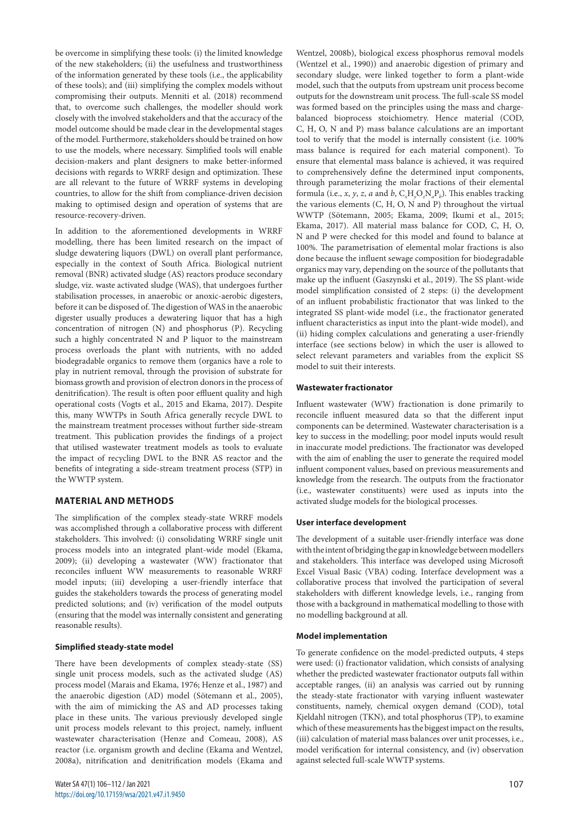be overcome in simplifying these tools: (i) the limited knowledge of the new stakeholders; (ii) the usefulness and trustworthiness of the information generated by these tools (i.e., the applicability of these tools); and (iii) simplifying the complex models without compromising their outputs. Menniti et al. (2018) recommend that, to overcome such challenges, the modeller should work closely with the involved stakeholders and that the accuracy of the model outcome should be made clear in the developmental stages of the model. Furthermore, stakeholders should be trained on how to use the models, where necessary. Simplified tools will enable decision-makers and plant designers to make better-informed decisions with regards to WRRF design and optimization. These are all relevant to the future of WRRF systems in developing countries, to allow for the shift from compliance-driven decision making to optimised design and operation of systems that are resource-recovery-driven.

In addition to the aforementioned developments in WRRF modelling, there has been limited research on the impact of sludge dewatering liquors (DWL) on overall plant performance, especially in the context of South Africa. Biological nutrient removal (BNR) activated sludge (AS) reactors produce secondary sludge, viz. waste activated sludge (WAS), that undergoes further stabilisation processes, in anaerobic or anoxic-aerobic digesters, before it can be disposed of. The digestion of WAS in the anaerobic digester usually produces a dewatering liquor that has a high concentration of nitrogen (N) and phosphorus (P). Recycling such a highly concentrated N and P liquor to the mainstream process overloads the plant with nutrients, with no added biodegradable organics to remove them (organics have a role to play in nutrient removal, through the provision of substrate for biomass growth and provision of electron donors in the process of denitrification). The result is often poor effluent quality and high operational costs (Vogts et al., 2015 and Ekama, 2017). Despite this, many WWTPs in South Africa generally recycle DWL to the mainstream treatment processes without further side-stream treatment. This publication provides the findings of a project that utilised wastewater treatment models as tools to evaluate the impact of recycling DWL to the BNR AS reactor and the benefits of integrating a side-stream treatment process (STP) in the WWTP system.

## **MATERIAL AND METHODS**

The simplification of the complex steady-state WRRF models was accomplished through a collaborative process with different stakeholders. This involved: (i) consolidating WRRF single unit process models into an integrated plant-wide model (Ekama, 2009); (ii) developing a wastewater (WW) fractionator that reconciles influent WW measurements to reasonable WRRF model inputs; (iii) developing a user-friendly interface that guides the stakeholders towards the process of generating model predicted solutions; and (iv) verification of the model outputs (ensuring that the model was internally consistent and generating reasonable results).

#### **Simplified steady-state model**

There have been developments of complex steady-state (SS) single unit process models, such as the activated sludge (AS) process model (Marais and Ekama, 1976; Henze et al., 1987) and the anaerobic digestion (AD) model (Sötemann et al., 2005), with the aim of mimicking the AS and AD processes taking place in these units. The various previously developed single unit process models relevant to this project, namely, influent wastewater characterisation (Henze and Comeau, 2008), AS reactor (i.e. organism growth and decline (Ekama and Wentzel, 2008a), nitrification and denitrification models (Ekama and

Wentzel, 2008b), biological excess phosphorus removal models (Wentzel et al., 1990)) and anaerobic digestion of primary and secondary sludge, were linked together to form a plant-wide model, such that the outputs from upstream unit process become outputs for the downstream unit process. The full-scale SS model was formed based on the principles using the mass and chargebalanced bioprocess stoichiometry. Hence material (COD, C, H, O, N and P) mass balance calculations are an important tool to verify that the model is internally consistent (i.e. 100% mass balance is required for each material component). To ensure that elemental mass balance is achieved, it was required to comprehensively define the determined input components, through parameterizing the molar fractions of their elemental formula (i.e.,  $x$ ,  $y$ ,  $z$ ,  $a$  and  $b$ ,  $C$ ,  $H$ <sub>*v*</sub> $O$ <sub>*z*</sub> $N$ <sub>*a*</sub> $P$ <sub>*b*</sub>). This enables tracking the various elements (C, H, O, N and P) throughout the virtual WWTP (Sötemann, 2005; Ekama, 2009; Ikumi et al., 2015; Ekama, 2017). All material mass balance for COD, C, H, O, N and P were checked for this model and found to balance at 100%. The parametrisation of elemental molar fractions is also done because the influent sewage composition for biodegradable organics may vary, depending on the source of the pollutants that make up the influent (Gaszynski et al., 2019). The SS plant-wide model simplification consisted of 2 steps: (i) the development of an influent probabilistic fractionator that was linked to the integrated SS plant-wide model (i.e., the fractionator generated influent characteristics as input into the plant-wide model), and (ii) hiding complex calculations and generating a user-friendly interface (see sections below) in which the user is allowed to select relevant parameters and variables from the explicit SS model to suit their interests.

### **Wastewater fractionator**

Influent wastewater (WW) fractionation is done primarily to reconcile influent measured data so that the different input components can be determined. Wastewater characterisation is a key to success in the modelling; poor model inputs would result in inaccurate model predictions. The fractionator was developed with the aim of enabling the user to generate the required model influent component values, based on previous measurements and knowledge from the research. The outputs from the fractionator (i.e., wastewater constituents) were used as inputs into the activated sludge models for the biological processes.

#### **User interface development**

The development of a suitable user-friendly interface was done with the intent of bridging the gap in knowledge between modellers and stakeholders. This interface was developed using Microsoft Excel Visual Basic (VBA) coding. Interface development was a collaborative process that involved the participation of several stakeholders with different knowledge levels, i.e., ranging from those with a background in mathematical modelling to those with no modelling background at all.

#### **Model implementation**

To generate confidence on the model-predicted outputs, 4 steps were used: (i) fractionator validation, which consists of analysing whether the predicted wastewater fractionator outputs fall within acceptable ranges, (ii) an analysis was carried out by running the steady-state fractionator with varying influent wastewater constituents, namely, chemical oxygen demand (COD), total Kjeldahl nitrogen (TKN), and total phosphorus (TP), to examine which of these measurements has the biggest impact on the results, (iii) calculation of material mass balances over unit processes, i.e., model verification for internal consistency, and (iv) observation against selected full-scale WWTP systems.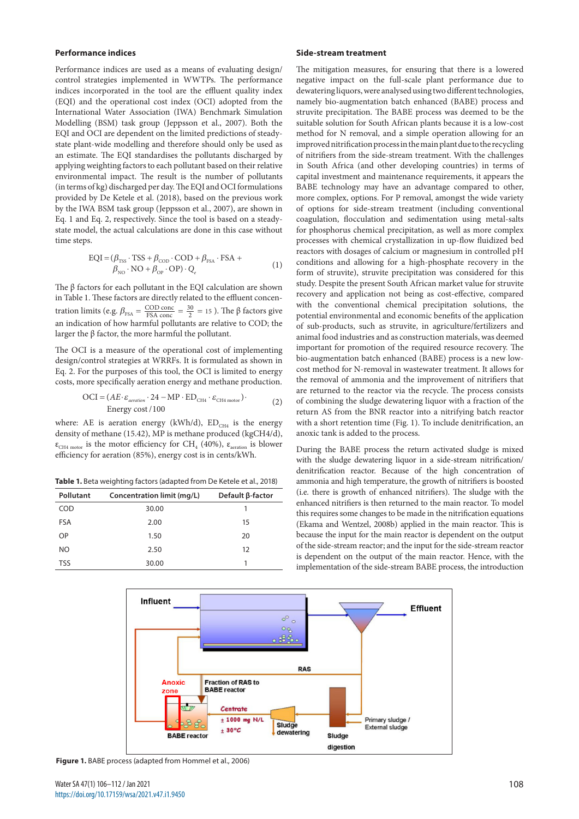#### **Performance indices**

Performance indices are used as a means of evaluating design/ control strategies implemented in WWTPs. The performance indices incorporated in the tool are the effluent quality index (EQI) and the operational cost index (OCI) adopted from the International Water Association (IWA) Benchmark Simulation Modelling (BSM) task group (Jeppsson et al., 2007). Both the EQI and OCI are dependent on the limited predictions of steadystate plant-wide modelling and therefore should only be used as an estimate. The EQI standardises the pollutants discharged by applying weighting factors to each pollutant based on their relative environmental impact. The result is the number of pollutants (in terms of kg) discharged per day. The EQI and OCI formulations provided by De Ketele et al. (2018), based on the previous work by the IWA BSM task group (Jeppsson et al., 2007), are shown in Eq. 1 and Eq. 2, respectively. Since the tool is based on a steadystate model, the actual calculations are done in this case without time steps.

$$
\text{EQI} = (\beta_{\text{TSS}} \cdot \text{TSS} + \beta_{\text{COD}} \cdot \text{COD} + \beta_{\text{FSA}} \cdot \text{FSA} + \beta_{\text{NO}} \cdot \text{NO} + \beta_{\text{OP}} \cdot \text{OP}) \cdot Q_e
$$
 (1)

The β factors for each pollutant in the EQI calculation are shown in Table 1. These factors are directly related to the effluent concentration limits (e.g.  $\beta_{\text{FSA}} = \frac{\text{COD conc}}{\text{FSA conc}} = \frac{30}{2} =$  $\frac{30}{2}$  = 15 ). The β factors give an indication of how harmful pollutants are relative to COD; the larger the β factor, the more harmful the pollutant.

The OCI is a measure of the operational cost of implementing design/control strategies at WRRFs. It is formulated as shown in Eq. 2. For the purposes of this tool, the OCI is limited to energy costs, more specifically aeration energy and methane production.

$$
OCI = (AE \cdot \varepsilon_{\text{aeration}} \cdot 24 - MP \cdot ED_{CH4} \cdot \varepsilon_{CH4 \text{ motor}}).
$$
\n
$$
Energy \text{ cost} / 100 \tag{2}
$$

where: AE is aeration energy (kWh/d),  $ED_{CH4}$  is the energy density of methane (15.42), MP is methane produced (kgCH4/d),  $\varepsilon_{CH4 \text{ motor}}$  is the motor efficiency for CH<sub>4</sub> (40%),  $\varepsilon_{\text{aeration}}$  is blower efficiency for aeration (85%), energy cost is in cents/kWh.

Table 1. Beta weighting factors (adapted from De Ketele et al., 2018)

| Pollutant  | Concentration limit (mg/L) | Default $\beta$ -factor |
|------------|----------------------------|-------------------------|
| <b>COD</b> | 30.00                      |                         |
| <b>FSA</b> | 2.00                       | 15                      |
| OP         | 1.50                       | 20                      |
| <b>NO</b>  | 2.50                       | 12                      |
| TSS        | 30.00                      |                         |

#### **Side-stream treatment**

The mitigation measures, for ensuring that there is a lowered negative impact on the full-scale plant performance due to dewatering liquors, were analysed using two different technologies, namely bio-augmentation batch enhanced (BABE) process and struvite precipitation. The BABE process was deemed to be the suitable solution for South African plants because it is a low-cost method for N removal, and a simple operation allowing for an improved nitrification process in the main plant due to the recycling of nitrifiers from the side-stream treatment. With the challenges in South Africa (and other developing countries) in terms of capital investment and maintenance requirements, it appears the BABE technology may have an advantage compared to other, more complex, options. For P removal, amongst the wide variety of options for side-stream treatment (including conventional coagulation, flocculation and sedimentation using metal-salts for phosphorus chemical precipitation, as well as more complex processes with chemical crystallization in up-flow fluidized bed reactors with dosages of calcium or magnesium in controlled pH conditions and allowing for a high-phosphate recovery in the form of struvite), struvite precipitation was considered for this study. Despite the present South African market value for struvite recovery and application not being as cost-effective, compared with the conventional chemical precipitation solutions, the potential environmental and economic benefits of the application of sub-products, such as struvite, in agriculture/fertilizers and animal food industries and as construction materials, was deemed important for promotion of the required resource recovery. The bio-augmentation batch enhanced (BABE) process is a new lowcost method for N-removal in wastewater treatment. It allows for the removal of ammonia and the improvement of nitrifiers that are returned to the reactor via the recycle. The process consists of combining the sludge dewatering liquor with a fraction of the return AS from the BNR reactor into a nitrifying batch reactor with a short retention time (Fig. 1). To include denitrification, an anoxic tank is added to the process.

During the BABE process the return activated sludge is mixed with the sludge dewatering liquor in a side-stream nitrification/ denitrification reactor. Because of the high concentration of ammonia and high temperature, the growth of nitrifiers is boosted (i.e. there is growth of enhanced nitrifiers). The sludge with the enhanced nitrifiers is then returned to the main reactor. To model this requires some changes to be made in the nitrification equations (Ekama and Wentzel, 2008b) applied in the main reactor. This is because the input for the main reactor is dependent on the output of the side-stream reactor; and the input for the side-stream reactor is dependent on the output of the main reactor. Hence, with the implementation of the side-stream BABE process, the introduction



**Figure 1.** BABE process (adapted from Hommel et al., 2006)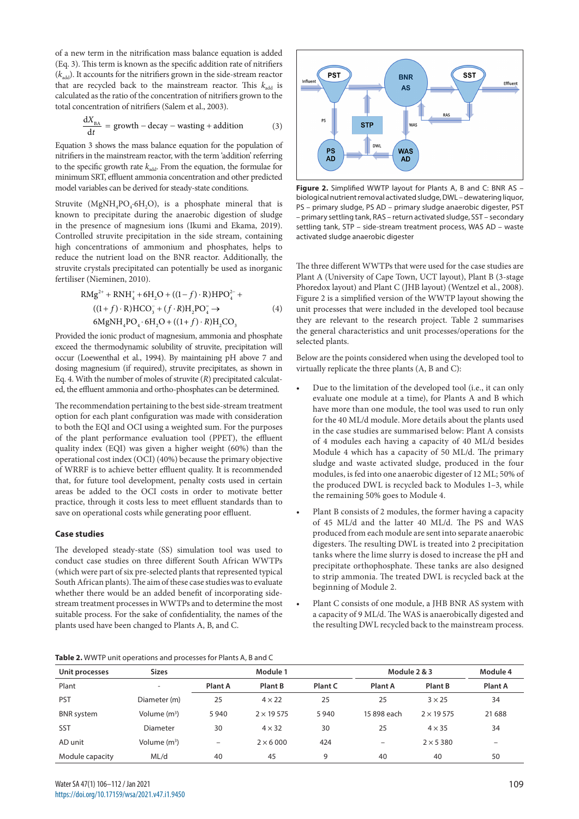of a new term in the nitrification mass balance equation is added (Eq. 3). This term is known as the specific addition rate of nitrifiers  $(k<sub>add</sub>)$ . It accounts for the nitrifiers grown in the side-stream reactor that are recycled back to the mainstream reactor. This  $k_{\text{add}}$  is calculated as the ratio of the concentration of nitrifiers grown to the total concentration of nitrifiers (Salem et al., 2003).

$$
\frac{dX_{BA}}{dt} = \text{growth} - \text{decay} - \text{wasting} + \text{addition} \tag{3}
$$

Equation 3 shows the mass balance equation for the population of nitrifiers in the mainstream reactor, with the term 'addition' referring to the specific growth rate  $k_{add}$ . From the equation, the formulae for minimum SRT, effluent ammonia concentration and other predicted model variables can be derived for steady-state conditions.

Struvite (MgNH<sub>4</sub>PO<sub>4</sub>⋅6H<sub>2</sub>O), is a phosphate mineral that is known to precipitate during the anaerobic digestion of sludge in the presence of magnesium ions (Ikumi and Ekama, 2019). Controlled struvite precipitation in the side stream, containing high concentrations of ammonium and phosphates, helps to reduce the nutrient load on the BNR reactor. Additionally, the struvite crystals precipitated can potentially be used as inorganic fertiliser (Nieminen, 2010).

$$
RMg^{2+} + RNH_4^+ + 6H_2O + ((1 - f) \cdot R)HPO_4^{-} +
$$
  
\n
$$
((1 + f) \cdot R)HCO_3^- + (f \cdot R)H_2PO_4^- \rightarrow
$$
  
\n
$$
6MgNH_4PO_4 \cdot 6H_2O + ((1 + f) \cdot R)H_2CO_3
$$
\n(4)

Provided the ionic product of magnesium, ammonia and phosphate exceed the thermodynamic solubility of struvite, precipitation will occur (Loewenthal et al., 1994). By maintaining pH above 7 and dosing magnesium (if required), struvite precipitates, as shown in Eq. 4. With the number of moles of struvite (*R*) precipitated calculated, the effluent ammonia and ortho-phosphates can be determined.

The recommendation pertaining to the best side-stream treatment option for each plant configuration was made with consideration to both the EQI and OCI using a weighted sum. For the purposes of the plant performance evaluation tool (PPET), the effluent quality index (EQI) was given a higher weight (60%) than the operational cost index (OCI) (40%) because the primary objective of WRRF is to achieve better effluent quality. It is recommended that, for future tool development, penalty costs used in certain areas be added to the OCI costs in order to motivate better practice, through it costs less to meet effluent standards than to save on operational costs while generating poor effluent.

#### **Case studies**

The developed steady-state (SS) simulation tool was used to conduct case studies on three different South African WWTPs (which were part of six pre-selected plants that represented typical South African plants). The aim of these case studies was to evaluate whether there would be an added benefit of incorporating sidestream treatment processes in WWTPs and to determine the most suitable process. For the sake of confidentiality, the names of the plants used have been changed to Plants A, B, and C.

**Table 2.** WWTP unit operations and processes for Plants A, B and C



**Figure 2.** Simplified WWTP layout for Plants A, B and C: BNR AS – biological nutrient removal activated sludge, DWL – dewatering liquor, PS – primary sludge, PS AD – primary sludge anaerobic digester, PST – primary settling tank, RAS – return activated sludge, SST – secondary settling tank, STP – side-stream treatment process, WAS AD – waste activated sludge anaerobic digester

The three different WWTPs that were used for the case studies are Plant A (University of Cape Town, UCT layout), Plant B (3-stage Phoredox layout) and Plant C (JHB layout) (Wentzel et al., 2008). Figure 2 is a simplified version of the WWTP layout showing the unit processes that were included in the developed tool because they are relevant to the research project. Table 2 summarises the general characteristics and unit processes/operations for the selected plants.

Below are the points considered when using the developed tool to virtually replicate the three plants (A, B and C):

- Due to the limitation of the developed tool (i.e., it can only evaluate one module at a time), for Plants A and B which have more than one module, the tool was used to run only for the 40 ML/d module. More details about the plants used in the case studies are summarised below: Plant A consists of 4 modules each having a capacity of 40 ML/d besides Module 4 which has a capacity of 50 ML/d. The primary sludge and waste activated sludge, produced in the four modules, is fed into one anaerobic digester of 12 ML; 50% of the produced DWL is recycled back to Modules 1–3, while the remaining 50% goes to Module 4.
- Plant B consists of 2 modules, the former having a capacity of 45 ML/d and the latter 40 ML/d. The PS and WAS produced from each module are sent into separate anaerobic digesters. The resulting DWL is treated into 2 precipitation tanks where the lime slurry is dosed to increase the pH and precipitate orthophosphate. These tanks are also designed to strip ammonia. The treated DWL is recycled back at the beginning of Module 2.
- Plant C consists of one module, a IHB BNR AS system with a capacity of 9 ML/d. The WAS is anaerobically digested and the resulting DWL recycled back to the mainstream process.

| Unit processes    | <b>Sizes</b>             |                   | Module 1         |         | Module 2 & 3      | Module 4         |                          |
|-------------------|--------------------------|-------------------|------------------|---------|-------------------|------------------|--------------------------|
| Plant             | $\overline{\phantom{a}}$ | <b>Plant A</b>    | <b>Plant B</b>   | Plant C | <b>Plant A</b>    | <b>Plant B</b>   | <b>Plant A</b>           |
| <b>PST</b>        | Diameter (m)             | 25                | $4 \times 22$    | 25      | 25                | $3 \times 25$    | 34                       |
| <b>BNR</b> system | Volume $(m^3)$           | 5940              | $2 \times 19575$ | 5940    | 15 898 each       | $2 \times 19575$ | 21 688                   |
| <b>SST</b>        | Diameter                 | 30                | $4 \times 32$    | 30      | 25                | $4 \times 35$    | 34                       |
| AD unit           | Volume (m <sup>3</sup> ) | $\qquad \qquad -$ | $2 \times 6000$  | 424     | $\qquad \qquad -$ | $2 \times 5380$  | $\overline{\phantom{0}}$ |
| Module capacity   | ML/d                     | 40                | 45               | 9       | 40                | 40               | 50                       |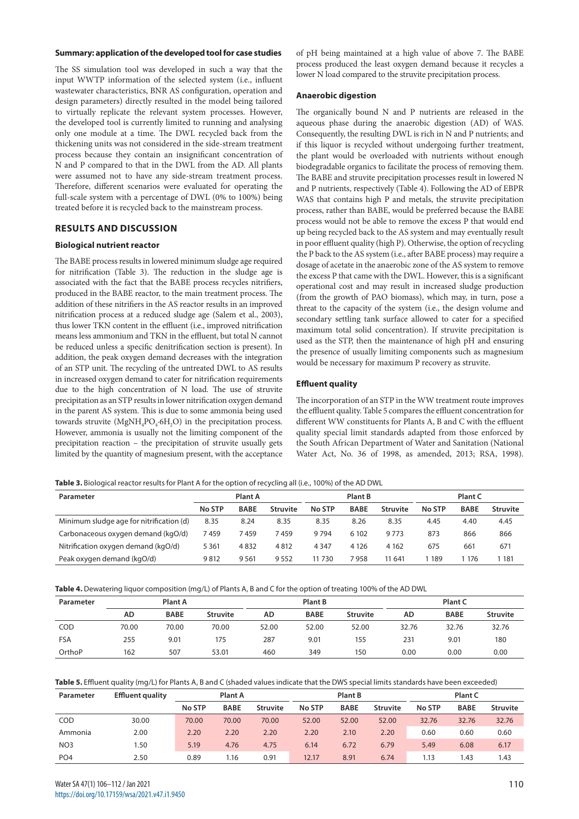#### **Summary: application of the developed tool for case studies**

The SS simulation tool was developed in such a way that the input WWTP information of the selected system (i.e., influent wastewater characteristics, BNR AS configuration, operation and design parameters) directly resulted in the model being tailored to virtually replicate the relevant system processes. However, the developed tool is currently limited to running and analysing only one module at a time. The DWL recycled back from the thickening units was not considered in the side-stream treatment process because they contain an insignificant concentration of N and P compared to that in the DWL from the AD. All plants were assumed not to have any side-stream treatment process. Therefore, different scenarios were evaluated for operating the full-scale system with a percentage of DWL (0% to 100%) being treated before it is recycled back to the mainstream process.

## **RESULTS AND DISCUSSION**

#### **Biological nutrient reactor**

The BABE process results in lowered minimum sludge age required for nitrification (Table 3). The reduction in the sludge age is associated with the fact that the BABE process recycles nitrifiers, produced in the BABE reactor, to the main treatment process. The addition of these nitrifiers in the AS reactor results in an improved nitrification process at a reduced sludge age (Salem et al., 2003), thus lower TKN content in the effluent (i.e., improved nitrification means less ammonium and TKN in the effluent, but total N cannot be reduced unless a specific denitrification section is present). In addition, the peak oxygen demand decreases with the integration of an STP unit. The recycling of the untreated DWL to AS results in increased oxygen demand to cater for nitrification requirements due to the high concentration of N load. The use of struvite precipitation as an STP results in lower nitrification oxygen demand in the parent AS system. This is due to some ammonia being used towards struvite (MgNH<sub>4</sub>PO<sub>4</sub>⋅6H<sub>2</sub>O) in the precipitation process. However, ammonia is usually not the limiting component of the precipitation reaction – the precipitation of struvite usually gets limited by the quantity of magnesium present, with the acceptance

of pH being maintained at a high value of above 7. The BABE process produced the least oxygen demand because it recycles a lower N load compared to the struvite precipitation process.

#### **Anaerobic digestion**

The organically bound N and P nutrients are released in the aqueous phase during the anaerobic digestion (AD) of WAS. Consequently, the resulting DWL is rich in N and P nutrients; and if this liquor is recycled without undergoing further treatment, the plant would be overloaded with nutrients without enough biodegradable organics to facilitate the process of removing them. The BABE and struvite precipitation processes result in lowered N and P nutrients, respectively (Table 4). Following the AD of EBPR WAS that contains high P and metals, the struvite precipitation process, rather than BABE, would be preferred because the BABE process would not be able to remove the excess P that would end up being recycled back to the AS system and may eventually result in poor effluent quality (high P). Otherwise, the option of recycling the P back to the AS system (i.e., after BABE process) may require a dosage of acetate in the anaerobic zone of the AS system to remove the excess P that came with the DWL. However, this is a significant operational cost and may result in increased sludge production (from the growth of PAO biomass), which may, in turn, pose a threat to the capacity of the system (i.e., the design volume and secondary settling tank surface allowed to cater for a specified maximum total solid concentration). If struvite precipitation is used as the STP, then the maintenance of high pH and ensuring the presence of usually limiting components such as magnesium would be necessary for maximum P recovery as struvite.

#### **Effluent quality**

The incorporation of an STP in the WW treatment route improves the effluent quality. Table 5 compares the effluent concentration for different WW constituents for Plants A, B and C with the effluent quality special limit standards adapted from those enforced by the South African Department of Water and Sanitation (National Water Act, No. 36 of 1998, as amended, 2013; RSA, 1998).

**Table 3.** Biological reactor results for Plant A for the option of recycling all (i.e., 100%) of the AD DWL

| Parameter                                | <b>Plant A</b> |             |                 | Plant B |             |          | Plant C |             |          |
|------------------------------------------|----------------|-------------|-----------------|---------|-------------|----------|---------|-------------|----------|
|                                          | No STP         | <b>BABE</b> | <b>Struvite</b> | No STP  | <b>BABE</b> | Struvite | No STP  | <b>BABE</b> | Struvite |
| Minimum sludge age for nitrification (d) | 8.35           | 8.24        | 8.35            | 8.35    | 8.26        | 8.35     | 4.45    | 4.40        | 4.45     |
| Carbonaceous oxygen demand (kgO/d)       | 7459           | 7 459       | 7459            | 9794    | 6 10 2      | 9773     | 873     | 866         | 866      |
| Nitrification oxygen demand (kgO/d)      | 5 3 6 1        | 4832        | 4812            | 4 3 4 7 | 4 1 2 6     | 4 1 6 2  | 675     | 661         | 671      |
| Peak oxygen demand (kgO/d)               | 9812           | 9 5 6 1     | 9552            | 11 730  | 7958        | 11 641   | 1 1 8 9 | 1 176       | 1 181    |

**Table 4.** Dewatering liquor composition (mg/L) of Plants A, B and C for the option of treating 100% of the AD DWL

| Parameter  | <b>Plant A</b> |             |          |       | Plant B     |                 | Plant C |             |          |  |
|------------|----------------|-------------|----------|-------|-------------|-----------------|---------|-------------|----------|--|
|            | AD             | <b>BABE</b> | Struvite | AD    | <b>BABE</b> | <b>Struvite</b> | AD      | <b>BABE</b> | Struvite |  |
| <b>COD</b> | 70.00          | 70.00       | 70.00    | 52.00 | 52.00       | 52.00           | 32.76   | 32.76       | 32.76    |  |
| <b>FSA</b> | 255            | 9.01        | 175      | 287   | 9.01        | 155             | 231     | 9.01        | 180      |  |
| OrthoP     | 162            | 507         | 53.01    | 460   | 349         | 150             | 0.00    | 0.00        | 0.00     |  |

|  | Table 5. Effluent quality (mg/L) for Plants A, B and C (shaded values indicate that the DWS special limits standards have been exceeded) |
|--|------------------------------------------------------------------------------------------------------------------------------------------|
|--|------------------------------------------------------------------------------------------------------------------------------------------|

| Parameter       | <b>Effluent quality</b> | <b>Plant A</b> |             |                 | <b>Plant B</b> |             |                 | Plant C       |             |                 |
|-----------------|-------------------------|----------------|-------------|-----------------|----------------|-------------|-----------------|---------------|-------------|-----------------|
|                 |                         | <b>No STP</b>  | <b>BABE</b> | <b>Struvite</b> | <b>No STP</b>  | <b>BABE</b> | <b>Struvite</b> | <b>No STP</b> | <b>BABE</b> | <b>Struvite</b> |
| <b>COD</b>      | 30.00                   | 70.00          | 70.00       | 70.00           | 52.00          | 52.00       | 52.00           | 32.76         | 32.76       | 32.76           |
| Ammonia         | 2.00                    | 2.20           | 2.20        | 2.20            | 2.20           | 2.10        | 2.20            | 0.60          | 0.60        | 0.60            |
| NO <sub>3</sub> | l.50                    | 5.19           | 4.76        | 4.75            | 6.14           | 6.72        | 6.79            | 5.49          | 6.08        | 6.17            |
| PO <sub>4</sub> | 2.50                    | 0.89           | 1.16        | 0.91            | 12.17          | 8.91        | 6.74            | 1.13          | 1.43        | 1.43            |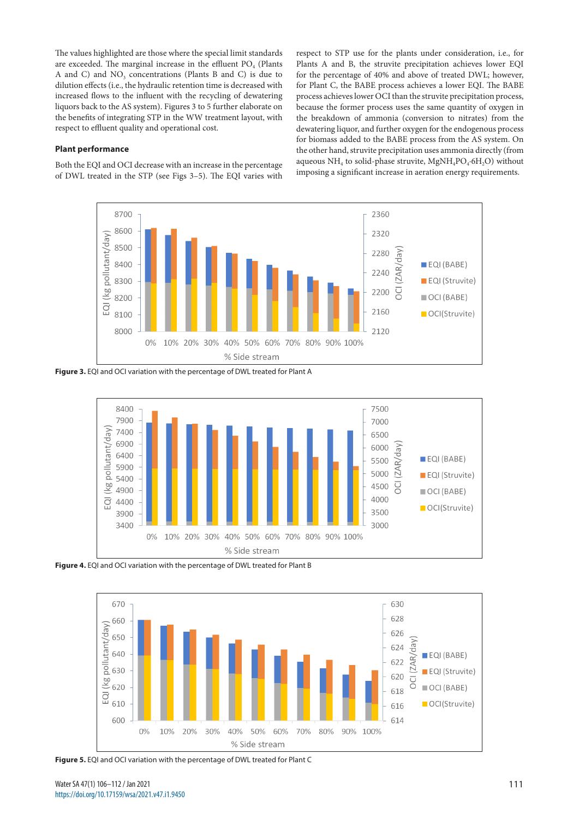The values highlighted are those where the special limit standards are exceeded. The marginal increase in the effluent  $PO<sub>4</sub>$  (Plants A and C) and  $NO<sub>3</sub>$  concentrations (Plants B and C) is due to dilution effects (i.e., the hydraulic retention time is decreased with increased flows to the influent with the recycling of dewatering liquors back to the AS system). Figures 3 to 5 further elaborate on the benefits of integrating STP in the WW treatment layout, with respect to effluent quality and operational cost.

#### **Plant performance**

Both the EQI and OCI decrease with an increase in the percentage of DWL treated in the STP (see Figs 3–5). The EQI varies with respect to STP use for the plants under consideration, i.e., for Plants A and B, the struvite precipitation achieves lower EQI for the percentage of 40% and above of treated DWL; however, for Plant C, the BABE process achieves a lower EQI. The BABE process achieves lower OCI than the struvite precipitation process, because the former process uses the same quantity of oxygen in the breakdown of ammonia (conversion to nitrates) from the dewatering liquor, and further oxygen for the endogenous process for biomass added to the BABE process from the AS system. On the other hand, struvite precipitation uses ammonia directly (from aqueous NH<sub>4</sub> to solid-phase struvite, MgNH<sub>4</sub>PO<sub>4</sub>⋅6H<sub>2</sub>O) without imposing a significant increase in aeration energy requirements.



**Figure 3.** EQI and OCI variation with the percentage of DWL treated for Plant A







**Figure 5.** EQI and OCI variation with the percentage of DWL treated for Plant C